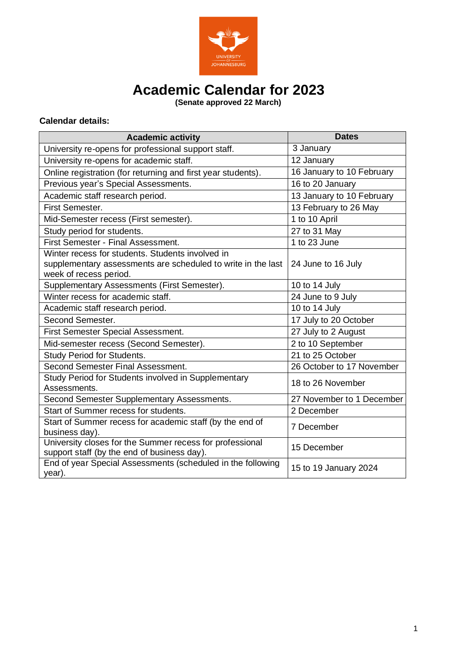

# **Academic Calendar for 2023**

**(Senate approved 22 March)**

### **Calendar details:**

| <b>Academic activity</b>                                                                                                                   | <b>Dates</b>              |
|--------------------------------------------------------------------------------------------------------------------------------------------|---------------------------|
| University re-opens for professional support staff.                                                                                        | 3 January                 |
| University re-opens for academic staff.                                                                                                    | 12 January                |
| Online registration (for returning and first year students).                                                                               | 16 January to 10 February |
| Previous year's Special Assessments.                                                                                                       | 16 to 20 January          |
| Academic staff research period.                                                                                                            | 13 January to 10 February |
| First Semester.                                                                                                                            | 13 February to 26 May     |
| Mid-Semester recess (First semester).                                                                                                      | 1 to 10 April             |
| Study period for students.                                                                                                                 | 27 to 31 May              |
| First Semester - Final Assessment.                                                                                                         | 1 to 23 June              |
| Winter recess for students. Students involved in<br>supplementary assessments are scheduled to write in the last<br>week of recess period. | 24 June to 16 July        |
| Supplementary Assessments (First Semester).                                                                                                | 10 to 14 July             |
| Winter recess for academic staff.                                                                                                          | 24 June to 9 July         |
| Academic staff research period.                                                                                                            | 10 to 14 July             |
| Second Semester.                                                                                                                           | 17 July to 20 October     |
| First Semester Special Assessment.                                                                                                         | 27 July to 2 August       |
| Mid-semester recess (Second Semester).                                                                                                     | 2 to 10 September         |
| Study Period for Students.                                                                                                                 | 21 to 25 October          |
| Second Semester Final Assessment.                                                                                                          | 26 October to 17 November |
| Study Period for Students involved in Supplementary<br>Assessments.                                                                        | 18 to 26 November         |
| Second Semester Supplementary Assessments.                                                                                                 | 27 November to 1 December |
| Start of Summer recess for students.                                                                                                       | 2 December                |
| Start of Summer recess for academic staff (by the end of<br>business day).                                                                 | 7 December                |
| University closes for the Summer recess for professional<br>support staff (by the end of business day).                                    | 15 December               |
| End of year Special Assessments (scheduled in the following<br>year).                                                                      | 15 to 19 January 2024     |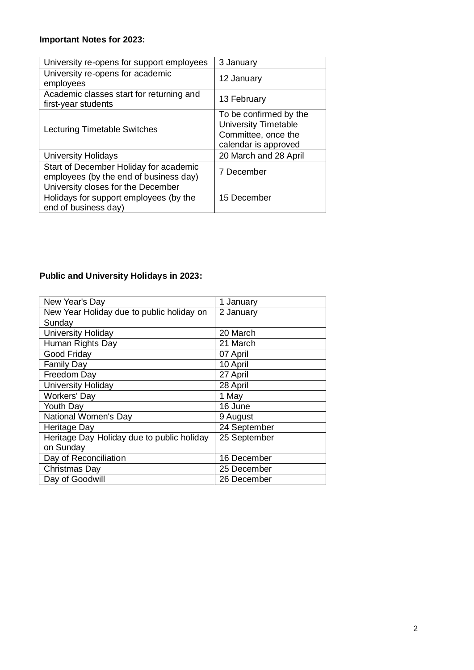#### **Important Notes for 2023:**

| University re-opens for support employees                                                            | 3 January                                                                                            |
|------------------------------------------------------------------------------------------------------|------------------------------------------------------------------------------------------------------|
| University re-opens for academic<br>employees                                                        | 12 January                                                                                           |
| Academic classes start for returning and<br>first-year students                                      | 13 February                                                                                          |
| Lecturing Timetable Switches                                                                         | To be confirmed by the<br><b>University Timetable</b><br>Committee, once the<br>calendar is approved |
| <b>University Holidays</b>                                                                           | 20 March and 28 April                                                                                |
| Start of December Holiday for academic<br>employees (by the end of business day)                     | 7 December                                                                                           |
| University closes for the December<br>Holidays for support employees (by the<br>end of business day) | 15 December                                                                                          |

## **Public and University Holidays in 2023:**

| New Year's Day                             | 1 January    |
|--------------------------------------------|--------------|
| New Year Holiday due to public holiday on  | 2 January    |
| Sunday                                     |              |
| <b>University Holiday</b>                  | 20 March     |
| Human Rights Day                           | 21 March     |
| Good Friday                                | 07 April     |
| <b>Family Day</b>                          | 10 April     |
| Freedom Day                                | 27 April     |
| <b>University Holiday</b>                  | 28 April     |
| <b>Workers' Day</b>                        | 1 May        |
| Youth Day                                  | 16 June      |
| National Women's Day                       | 9 August     |
| <b>Heritage Day</b>                        | 24 September |
| Heritage Day Holiday due to public holiday | 25 September |
| on Sunday                                  |              |
| Day of Reconciliation                      | 16 December  |
| Christmas Day                              | 25 December  |
| Day of Goodwill                            | 26 December  |